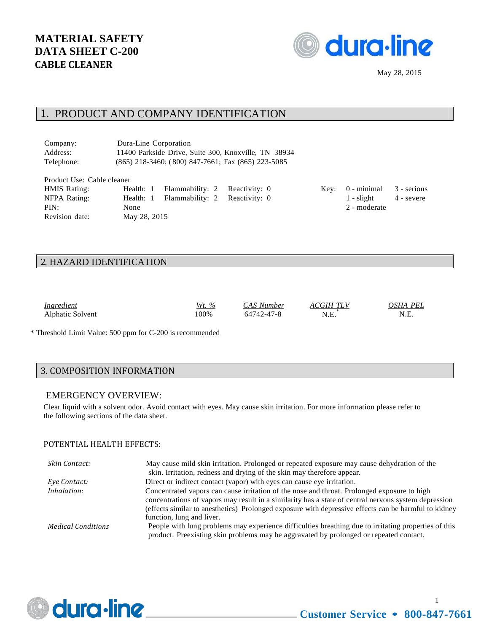

#### 1. PRODUCT AND COMPANY IDENTIFICATION

| Company:   | Dura-Line Corporation                                    |
|------------|----------------------------------------------------------|
| Address:   | 11400 Parkside Drive, Suite 300, Knoxville, TN 38934     |
| Telephone: | $(865)$ 218-3460; $(800)$ 847-7661; Fax $(865)$ 223-5085 |

| Product Use: Cable cleaner |              |                                         |  |                                  |            |
|----------------------------|--------------|-----------------------------------------|--|----------------------------------|------------|
| <b>HMIS Rating:</b>        |              | Health: 1 Flammability: 2 Reactivity: 0 |  | Key: $0$ - minimal $3$ - serious |            |
| NFPA Rating:               |              | Health: 1 Flammability: 2 Reactivity: 0 |  | 1 - slight                       | 4 - severe |
| PIN:                       | None         |                                         |  | 2 - moderate                     |            |
| Revision date:             | May 28, 2015 |                                         |  |                                  |            |

#### 2. HAZARD IDENTIFICATION

| Ingredient<br>Alphatic Solvent | $\%$<br>$W_t$<br>.00% | CAS Number<br>64742-47-8 | <b>ACGIH TLV</b><br>N.E. | OSHA<br>PEI.<br>N.E. |
|--------------------------------|-----------------------|--------------------------|--------------------------|----------------------|
|                                |                       |                          |                          |                      |

\* Threshold Limit Value: 500 ppm for C-200 is recommended

#### 3. COMPOSITION INFORMATION

#### EMERGENCY OVERVIEW:

Clear liquid with a solvent odor. Avoid contact with eyes. May cause skin irritation. For more information please refer to the following sections of the data sheet.

#### POTENTIAL HEALTH EFFECTS:

| Skin Contact:             | May cause mild skin irritation. Prolonged or repeated exposure may cause dehydration of the          |
|---------------------------|------------------------------------------------------------------------------------------------------|
|                           | skin. Irritation, redness and drying of the skin may therefore appear.                               |
| Eye Contact:              | Direct or indirect contact (vapor) with eyes can cause eye irritation.                               |
| Inhalation:               | Concentrated vapors can cause irritation of the nose and throat. Prolonged exposure to high          |
|                           | concentrations of vapors may result in a similarity has a state of central nervous system depression |
|                           | (effects similar to anesthetics) Prolonged exposure with depressive effects can be harmful to kidney |
|                           | function, lung and liver.                                                                            |
| <b>Medical Conditions</b> | People with lung problems may experience difficulties breathing due to irritating properties of this |
|                           | product. Preexisting skin problems may be aggravated by prolonged or repeated contact.               |



1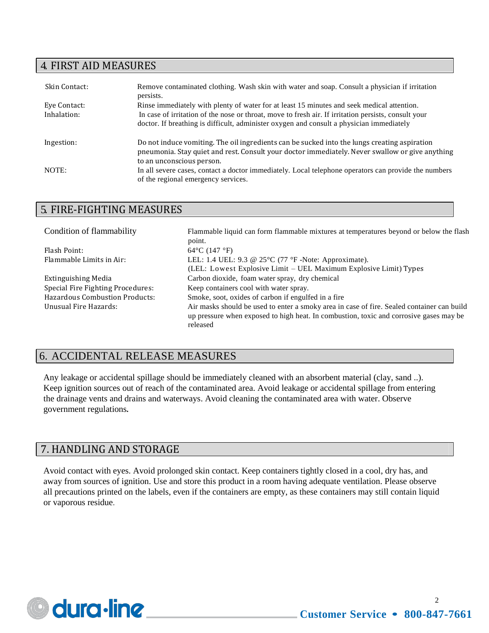## 4. FIRST AID MEASURES

| Skin Contact: | Remove contaminated clothing. Wash skin with water and soap. Consult a physician if irritation<br>persists.                                                                                      |
|---------------|--------------------------------------------------------------------------------------------------------------------------------------------------------------------------------------------------|
| Eye Contact:  | Rinse immediately with plenty of water for at least 15 minutes and seek medical attention.                                                                                                       |
| Inhalation:   | In case of irritation of the nose or throat, move to fresh air. If irritation persists, consult your<br>doctor. If breathing is difficult, administer oxygen and consult a physician immediately |
| Ingestion:    | Do not induce vomiting. The oil ingredients can be sucked into the lungs creating aspiration                                                                                                     |
|               | pneumonia. Stay quiet and rest. Consult your doctor immediately. Never swallow or give anything<br>to an unconscious person.                                                                     |
| NOTE:         | In all severe cases, contact a doctor immediately. Local telephone operators can provide the numbers<br>of the regional emergency services.                                                      |
|               |                                                                                                                                                                                                  |

# 5. FIRE-FIGHTING MEASURES

| Condition of flammability             | Flammable liquid can form flammable mixtures at temperatures beyond or below the flash     |
|---------------------------------------|--------------------------------------------------------------------------------------------|
|                                       | point.                                                                                     |
| Flash Point:                          | $64^{\circ}$ C (147 $^{\circ}$ F)                                                          |
| Flammable Limits in Air:              | LEL: 1.4 UEL: 9.3 @ $25^{\circ}$ C (77 °F -Note: Approximate).                             |
|                                       | (LEL: Lowest Explosive Limit – UEL Maximum Explosive Limit) Types                          |
| Extinguishing Media                   | Carbon dioxide, foam water spray, dry chemical                                             |
| Special Fire Fighting Procedures:     | Keep containers cool with water spray.                                                     |
| <b>Hazardous Combustion Products:</b> | Smoke, soot, oxides of carbon if engulfed in a fire                                        |
| Unusual Fire Hazards:                 | Air masks should be used to enter a smoky area in case of fire. Sealed container can build |
|                                       | up pressure when exposed to high heat. In combustion, toxic and corrosive gases may be     |
|                                       | released                                                                                   |
|                                       |                                                                                            |

## 6. ACCIDENTAL RELEASE MEASURES

Any leakage or accidental spillage should be immediately cleaned with an absorbent material (clay, sand ..). Keep ignition sources out of reach of the contaminated area. Avoid leakage or accidental spillage from entering the drainage vents and drains and waterways. Avoid cleaning the contaminated area with water. Observe government regulations**.**

# 7. HANDLING AND STORAGE

Avoid contact with eyes. Avoid prolonged skin contact. Keep containers tightly closed in a cool, dry has, and away from sources of ignition. Use and store this product in a room having adequate ventilation. Please observe all precautions printed on the labels, even if the containers are empty, as these containers may still contain liquid or vaporous residue.

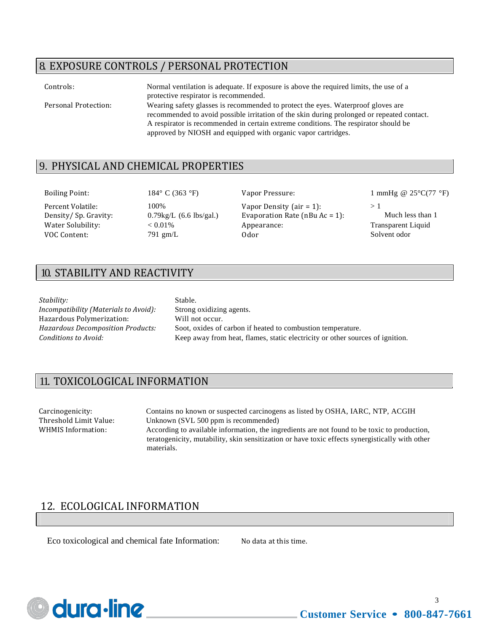## 8. EXPOSURE CONTROLS / PERSONAL PROTECTION

| Controls:            | Normal ventilation is adequate. If exposure is above the required limits, the use of a<br>protective respirator is recommended.                                                                                                                                                                                                        |
|----------------------|----------------------------------------------------------------------------------------------------------------------------------------------------------------------------------------------------------------------------------------------------------------------------------------------------------------------------------------|
| Personal Protection: | Wearing safety glasses is recommended to protect the eyes. Waterproof gloves are<br>recommended to avoid possible irritation of the skin during prolonged or repeated contact.<br>A respirator is recommended in certain extreme conditions. The respirator should be<br>approved by NIOSH and equipped with organic vapor cartridges. |

#### 9. PHYSICAL AND CHEMICAL PROPERTIES

Percent Volatile: 100% Vapor Density (air = 1): > 1 Density/ Sp. Gravity: 0.79kg/L (6.6 lbs/gal.) Evaporation Rate (nBu Ac = 1): Much less than 1 Water Solubility:  $\leq 0.01\%$  Appearance: Transparent Liquid VOC Content:  $\frac{791 \text{ gm/L}}{291 \text{ gm/L}}$  Odor Solvent odor

Boiling Point: 184° C (363 °F) Vapor Pressure: 1 mmHg @ 25°C(77 °F)

# 10. STABILITY AND REACTIVITY

*Stability:* Stable.

*Incompatibility (Materials to Avoid):* Strong oxidizing agents. Hazardous Polymerization: Will not occur.

*Hazardous Decomposition Products:* Soot, oxides of carbon if heated to combustion temperature. *Conditions to Avoid:* Keep away from heat, flames, static electricity or other sources of ignition.

# 11. TOXICOLOGICAL INFORMATION

Carcinogenicity: Contains no known or suspected carcinogens as listed by OSHA, IARC, NTP, ACGIH Threshold Limit Value: Unknown (SVL 500 ppm is recommended) WHMIS Information: According to available information, the ingredients are not found to be toxic to production, teratogenicity, mutability, skin sensitization or have toxic effects synergistically with other

materials.

# 12. ECOLOGICAL INFORMATION

Eco toxicological and chemical fate Information: No data at this time.